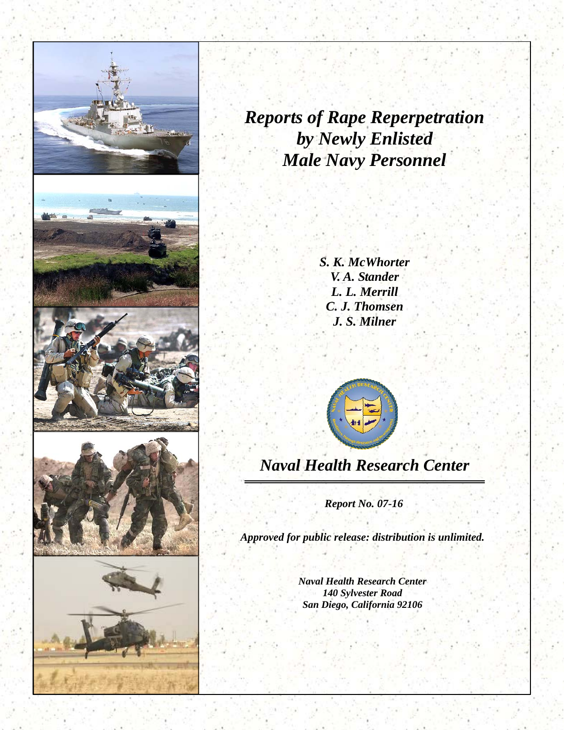

*Reports of Rape Reperpetration by Newly Enlisted Male Navy Personnel* 

> *S. K. McWhorter V. A. Stander L. L. Merrill C. J. Thomsen J. S. Milner*



*Naval Health Research Center* 

 *Report No. 07-16* 

*Approved for public release: distribution is unlimited.* 

*Naval Health Research Center 140 Sylvester Road San Diego, California 92106*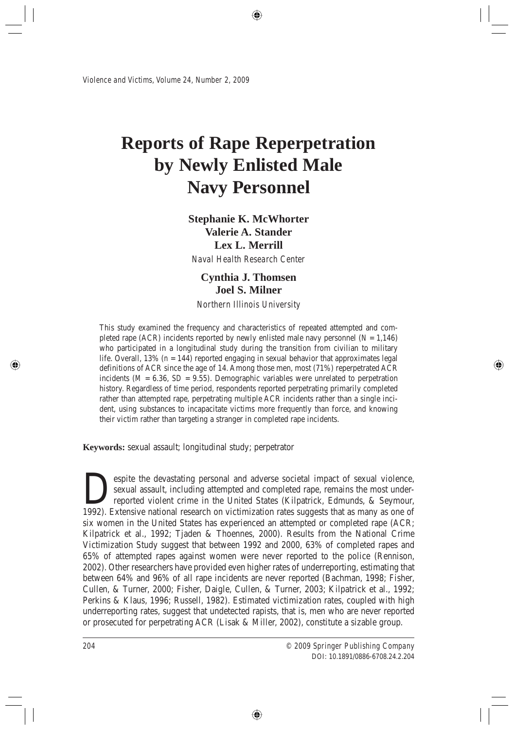*Violence and Victims, Volume 24, Number 2, 2009*

# **Reports of Rape Reperpetration by Newly Enlisted Male Navy Personnel**

 $\bigoplus$ 

 **Stephanie K. McWhorter Valerie A. Stander Lex L. Merrill** 

 *Naval Health Research Center* 

# **Cynthia J. Thomsen Joel S. Milner**

 *Northern Illinois University* 

 This study examined the frequency and characteristics of repeated attempted and completed rape (ACR) incidents reported by newly enlisted male navy personnel ( $N = 1,146$ ) who participated in a longitudinal study during the transition from civilian to military life. Overall, 13%  $(n = 144)$  reported engaging in sexual behavior that approximates legal definitions of ACR since the age of 14. Among those men, most (71%) reperpetrated ACR incidents ( $M = 6.36$ ,  $SD = 9.55$ ). Demographic variables were unrelated to perpetration history. Regardless of time period, respondents reported perpetrating primarily completed rather than attempted rape, perpetrating multiple ACR incidents rather than a single incident, using substances to incapacitate victims more frequently than force, and knowing their victim rather than targeting a stranger in completed rape incidents.

 **Keywords:** sexual assault; longitudinal study; perpetrator

**Example 1989** espite the devastating personal and adverse societal impact of sexual violence, sexual assault, including attempted and completed rape, remains the most under-<br>reported violent crime in the United States (Ki sexual assault, including attempted and completed rape, remains the most under-1992). Extensive national research on victimization rates suggests that as many as one of six women in the United States has experienced an attempted or completed rape (ACR; Kilpatrick et al., 1992; Tjaden & Thoennes, 2000). Results from the National Crime Victimization Study suggest that between 1992 and 2000, 63% of completed rapes and 65% of attempted rapes against women were never reported to the police (Rennison, 2002). Other researchers have provided even higher rates of underreporting, estimating that between 64% and 96% of all rape incidents are never reported (Bachman, 1998; Fisher, Cullen, & Turner, 2000; Fisher, Daigle, Cullen, & Turner, 2003; Kilpatrick et al., 1992; Perkins & Klaus, 1996; Russell, 1982). Estimated victimization rates, coupled with high underreporting rates, suggest that undetected rapists, that is, men who are never reported or prosecuted for perpetrating ACR (Lisak & Miller, 2002), constitute a sizable group.

 $\bigoplus$ 

*204 © 2009 Springer Publishing Company* DOI: 10.1891/0886-6708.24.2.204 ⊕

↔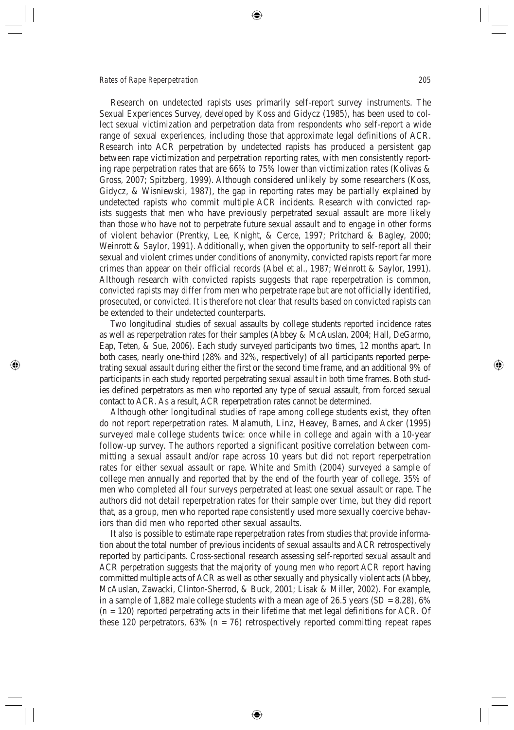↔

⊕

 Research on undetected rapists uses primarily self-report survey instruments. The Sexual Experiences Survey, developed by Koss and Gidycz (1985), has been used to collect sexual victimization and perpetration data from respondents who self-report a wide range of sexual experiences, including those that approximate legal definitions of ACR. Research into ACR perpetration by undetected rapists has produced a persistent gap between rape victimization and perpetration reporting rates, with men consistently reporting rape perpetration rates that are  $66\%$  to 75% lower than victimization rates (Kolivas & Gross, 2007; Spitzberg, 1999). Although considered unlikely by some researchers (Koss, Gidycz, & Wisniewski, 1987), the gap in reporting rates may be partially explained by undetected rapists who commit multiple ACR incidents. Research with convicted rapists suggests that men who have previously perpetrated sexual assault are more likely than those who have not to perpetrate future sexual assault and to engage in other forms of violent behavior (Prentky, Lee, Knight, & Cerce, 1997; Pritchard & Bagley, 2000; Weinrott & Saylor, 1991). Additionally, when given the opportunity to self-report all their sexual and violent crimes under conditions of anonymity, convicted rapists report far more crimes than appear on their official records (Abel et al., 1987; Weinrott & Saylor, 1991). Although research with convicted rapists suggests that rape reperpetration is common, convicted rapists may differ from men who perpetrate rape but are not officially identified, prosecuted, or convicted. It is therefore not clear that results based on convicted rapists can be extended to their undetected counterparts.

 $\bigoplus$ 

 Two longitudinal studies of sexual assaults by college students reported incidence rates as well as reperpetration rates for their samples (Abbey & McAuslan, 2004; Hall, DeGarmo, Eap, Teten, & Sue, 2006). Each study surveyed participants two times, 12 months apart. In both cases, nearly one-third (28% and 32%, respectively) of all participants reported perpetrating sexual assault during either the first or the second time frame, and an additional 9% of participants in each study reported perpetrating sexual assault in both time frames. Both studies defined perpetrators as men who reported any type of sexual assault, from forced sexual contact to ACR. As a result, ACR reperpetration rates cannot be determined.

 Although other longitudinal studies of rape among college students exist, they often do not report reperpetration rates. Malamuth, Linz, Heavey, Barnes, and Acker (1995) surveyed male college students twice: once while in college and again with a 10-year follow-up survey. The authors reported a significant positive correlation between committing a sexual assault and/or rape across 10 years but did not report reperpetration rates for either sexual assault or rape. White and Smith (2004) surveyed a sample of college men annually and reported that by the end of the fourth year of college, 35% of men who completed all four surveys perpetrated at least one sexual assault or rape. The authors did not detail reperpetration rates for their sample over time, but they did report that, as a group, men who reported rape consistently used more sexually coercive behaviors than did men who reported other sexual assaults.

 It also is possible to estimate rape reperpetration rates from studies that provide information about the total number of previous incidents of sexual assaults and ACR retrospectively reported by participants. Cross-sectional research assessing self-reported sexual assault and ACR perpetration suggests that the majority of young men who report ACR report having committed multiple acts of ACR as well as other sexually and physically violent acts (Abbey, McAuslan, Zawacki, Clinton-Sherrod, & Buck, 2001; Lisak & Miller, 2002). For example, in a sample of 1,882 male college students with a mean age of 26.5 years  $(SD = 8.28)$ , 6%  $(n = 120)$  reported perpetrating acts in their lifetime that met legal definitions for ACR. Of these 120 perpetrators,  $63\%$  ( $n = 76$ ) retrospectively reported committing repeat rapes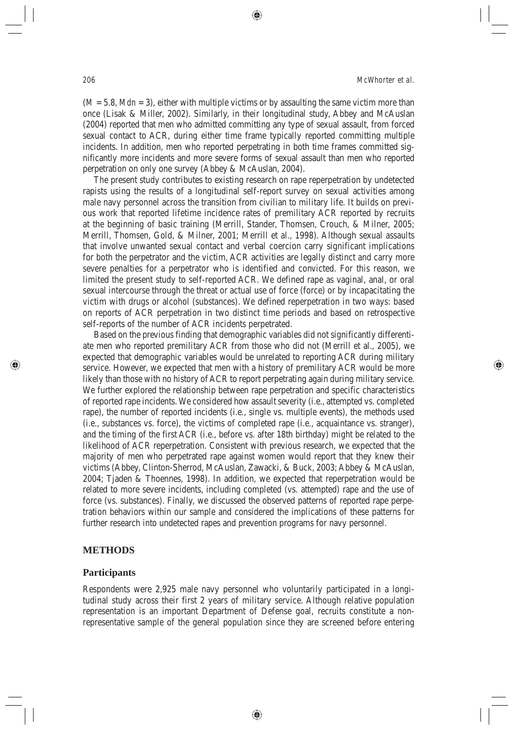$(M = 5.8, Mdn = 3)$ , either with multiple victims or by assaulting the same victim more than once (Lisak & Miller, 2002). Similarly, in their longitudinal study, Abbey and McAuslan (2004) reported that men who admitted committing any type of sexual assault, from forced sexual contact to ACR, during either time frame typically reported committing multiple incidents. In addition, men who reported perpetrating in both time frames committed significantly more incidents and more severe forms of sexual assault than men who reported perpetration on only one survey (Abbey & McAuslan, 2004).

⊕

 The present study contributes to existing research on rape reperpetration by undetected rapists using the results of a longitudinal self-report survey on sexual activities among male navy personnel across the transition from civilian to military life. It builds on previous work that reported lifetime incidence rates of premilitary ACR reported by recruits at the beginning of basic training (Merrill, Stander, Thomsen, Crouch, & Milner, 2005; Merrill, Thomsen, Gold, & Milner, 2001; Merrill et al., 1998). Although sexual assaults that involve unwanted sexual contact and verbal coercion carry significant implications for both the perpetrator and the victim, ACR activities are legally distinct and carry more severe penalties for a perpetrator who is identified and convicted. For this reason, we limited the present study to self-reported ACR. We defined rape as vaginal, anal, or oral sexual intercourse through the threat or actual use of force (force) or by incapacitating the victim with drugs or alcohol (substances). We defined reperpetration in two ways: based on reports of ACR perpetration in two distinct time periods and based on retrospective self-reports of the number of ACR incidents perpetrated.

 Based on the previous finding that demographic variables did not significantly differentiate men who reported premilitary ACR from those who did not (Merrill et al., 2005), we expected that demographic variables would be unrelated to reporting ACR during military service. However, we expected that men with a history of premilitary ACR would be more likely than those with no history of ACR to report perpetrating again during military service. We further explored the relationship between rape perpetration and specific characteristics of reported rape incidents. We considered how assault severity (i.e., attempted vs. completed rape), the number of reported incidents (i.e., single vs. multiple events), the methods used (i.e., substances vs. force), the victims of completed rape (i.e., acquaintance vs. stranger), and the timing of the first ACR (i.e., before vs. after 18th birthday) might be related to the likelihood of ACR reperpetration. Consistent with previous research, we expected that the majority of men who perpetrated rape against women would report that they knew their victims (Abbey, Clinton-Sherrod, McAuslan, Zawacki, & Buck, 2003; Abbey & McAuslan, 2004; Tjaden & Thoennes, 1998). In addition, we expected that reperpetration would be related to more severe incidents, including completed (vs. attempted) rape and the use of force (vs. substances). Finally, we discussed the observed patterns of reported rape perpetration behaviors within our sample and considered the implications of these patterns for further research into undetected rapes and prevention programs for navy personnel.

# **METHODS**

↔

## **Participants**

 Respondents were 2,925 male navy personnel who voluntarily participated in a longitudinal study across their first 2 years of military service. Although relative population representation is an important Department of Defense goal, recruits constitute a nonrepresentative sample of the general population since they are screened before entering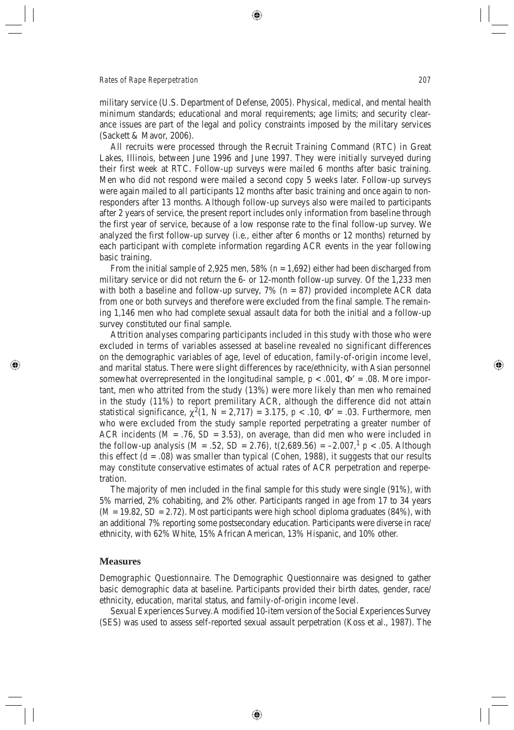military service (U.S. Department of Defense, 2005). Physical, medical, and mental health minimum standards; educational and moral requirements; age limits; and security clearance issues are part of the legal and policy constraints imposed by the military services (Sackett & Mavor, 2006).

⊕

 All recruits were processed through the Recruit Training Command (RTC) in Great Lakes, Illinois, between June 1996 and June 1997. They were initially surveyed during their first week at RTC. Follow-up surveys were mailed 6 months after basic training. Men who did not respond were mailed a second copy 5 weeks later. Follow-up surveys were again mailed to all participants 12 months after basic training and once again to nonresponders after 13 months. Although follow-up surveys also were mailed to participants after 2 years of service, the present report includes only information from baseline through the first year of service, because of a low response rate to the final follow-up survey. We analyzed the first follow-up survey (i.e., either after 6 months or 12 months) returned by each participant with complete information regarding ACR events in the year following basic training.

From the initial sample of 2,925 men, 58% ( $n = 1,692$ ) either had been discharged from military service or did not return the 6- or 12-month follow-up survey. Of the 1,233 men with both a baseline and follow-up survey,  $7\%$  ( $n = 87$ ) provided incomplete ACR data from one or both surveys and therefore were excluded from the final sample. The remaining 1,146 men who had complete sexual assault data for both the initial and a follow-up survey constituted our final sample.

 Attrition analyses comparing participants included in this study with those who were excluded in terms of variables assessed at baseline revealed no significant differences on the demographic variables of age, level of education, family-of-origin income level, and marital status. There were slight differences by race/ethnicity, with Asian personnel somewhat overrepresented in the longitudinal sample,  $p < .001$ ,  $\Phi' = .08$ . More important, men who attrited from the study (13%) were more likely than men who remained in the study (11%) to report premilitary ACR, although the difference did not attain statistical significance,  $\chi^2(1, N = 2.717) = 3.175$ ,  $p < .10$ ,  $\Phi' = .03$ . Furthermore, men who were excluded from the study sample reported perpetrating a greater number of ACR incidents ( $M = .76$ ,  $SD = 3.53$ ), on average, than did men who were included in the follow-up analysis ( $M = .52$ ,  $SD = 2.76$ ),  $t(2,689.56) = -2.007$ ,  $p < .05$ . Although this effect  $(d = .08)$  was smaller than typical (Cohen, 1988), it suggests that our results may constitute conservative estimates of actual rates of ACR perpetration and reperpetration.

 The majority of men included in the final sample for this study were single (91%), with 5% married, 2% cohabiting, and 2% other. Participants ranged in age from 17 to 34 years  $(M = 19.82, SD = 2.72)$ . Most participants were high school diploma graduates (84%), with an additional 7% reporting some postsecondary education. Participants were diverse in race/ ethnicity, with 62% White, 15% African American, 13% Hispanic, and 10% other.

#### **Measures**

↔

*Demographic Questionnaire.* The Demographic Questionnaire was designed to gather basic demographic data at baseline. Participants provided their birth dates, gender, race/ ethnicity, education, marital status, and family-of-origin income level.

*Sexual Experiences Survey.* A modified 10-item version of the Social Experiences Survey (SES) was used to assess self-reported sexual assault perpetration (Koss et al., 1987). The

 $\bigoplus$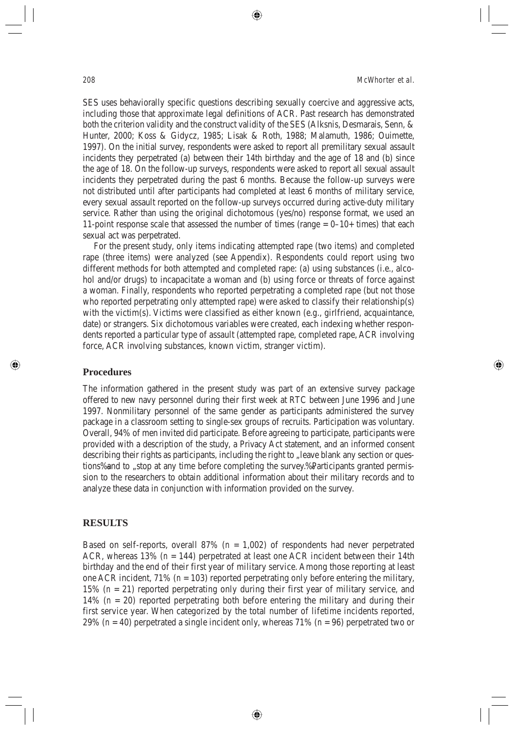SES uses behaviorally specific questions describing sexually coercive and aggressive acts, including those that approximate legal definitions of ACR. Past research has demonstrated both the criterion validity and the construct validity of the SES (Alksnis, Desmarais, Senn, & Hunter, 2000; Koss & Gidycz, 1985; Lisak & Roth, 1988; Malamuth, 1986; Ouimette, 1997). On the initial survey, respondents were asked to report all premilitary sexual assault incidents they perpetrated (a) between their 14th birthday and the age of 18 and (b) since the age of 18. On the follow-up surveys, respondents were asked to report all sexual assault incidents they perpetrated during the past 6 months. Because the follow-up surveys were not distributed until after participants had completed at least 6 months of military service, every sexual assault reported on the follow-up surveys occurred during active-duty military service. Rather than using the original dichotomous (yes/no) response format, we used an 11-point response scale that assessed the number of times (range  $= 0-10+$  times) that each sexual act was perpetrated.

⊕

 For the present study, only items indicating attempted rape (two items) and completed rape (three items) were analyzed (see Appendix). Respondents could report using two different methods for both attempted and completed rape: (a) using substances (i.e., alcohol and/or drugs) to incapacitate a woman and (b) using force or threats of force against a woman. Finally, respondents who reported perpetrating a completed rape (but not those who reported perpetrating only attempted rape) were asked to classify their relationship(s) with the victim(s). Victims were classified as either known (e.g., girlfriend, acquaintance, date) or strangers. Six dichotomous variables were created, each indexing whether respondents reported a particular type of assault (attempted rape, completed rape, ACR involving force, ACR involving substances, known victim, stranger victim).

## **Procedures**

↔

 The information gathered in the present study was part of an extensive survey package offered to new navy personnel during their first week at RTC between June 1996 and June 1997. Nonmilitary personnel of the same gender as participants administered the survey package in a classroom setting to single-sex groups of recruits. Participation was voluntary. Overall, 94% of men invited did participate. Before agreeing to participate, participants were provided with a description of the study, a Privacy Act statement, and an informed consent describing their rights as participants, including the right to "leave blank any section or questions‰ and to "stop at any time before completing the survey.‰ Participants granted permission to the researchers to obtain additional information about their military records and to analyze these data in conjunction with information provided on the survey.

# **RESULTS**

Based on self-reports, overall  $87\%$  ( $n = 1,002$ ) of respondents had never perpetrated ACR, whereas 13% ( $n = 144$ ) perpetrated at least one ACR incident between their 14th birthday and the end of their first year of military service. Among those reporting at least one ACR incident,  $71\%$  ( $n = 103$ ) reported perpetrating only before entering the military, 15% ( *n* = 21) reported perpetrating only during their first year of military service, and 14% ( $n = 20$ ) reported perpetrating both before entering the military and during their first service year. When categorized by the total number of lifetime incidents reported, 29%  $(n = 40)$  perpetrated a single incident only, whereas 71%  $(n = 96)$  perpetrated two or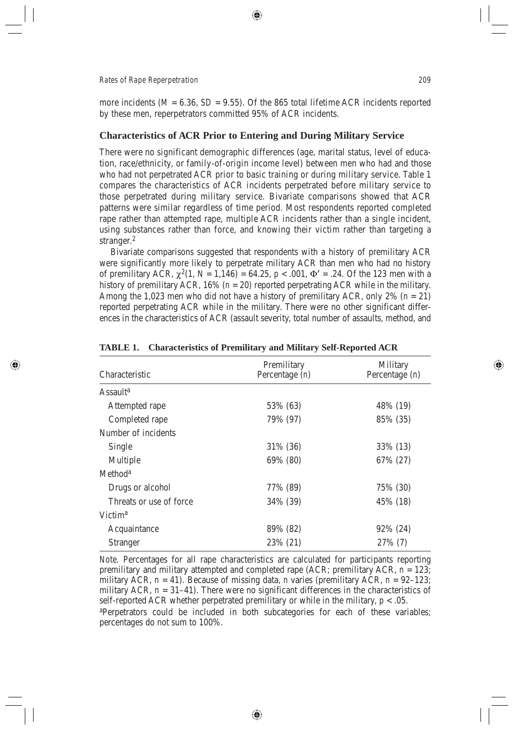↔

more incidents ( $M = 6.36$ ,  $SD = 9.55$ ). Of the 865 total lifetime ACR incidents reported by these men, reperpetrators committed 95% of ACR incidents.

⊕

# **Characteristics of ACR Prior to Entering and During Military Service**

 There were no significant demographic differences (age, marital status, level of education, race/ethnicity, or family-of-origin income level) between men who had and those who had not perpetrated ACR prior to basic training or during military service. Table 1 compares the characteristics of ACR incidents perpetrated before military service to those perpetrated during military service. Bivariate comparisons showed that ACR patterns were similar regardless of time period. Most respondents reported completed rape rather than attempted rape, multiple ACR incidents rather than a single incident, using substances rather than force, and knowing their victim rather than targeting a stranger.<sup>2</sup>

 Bivariate comparisons suggested that respondents with a history of premilitary ACR were significantly more likely to perpetrate military ACR than men who had no history of premilitary ACR,  $\chi^2(1, N = 1,146) = 64.25, p < .001, \Phi' = .24$ . Of the 123 men with a history of premilitary ACR, 16% ( $n = 20$ ) reported perpetrating ACR while in the military. Among the 1,023 men who did not have a history of premilitary ACR, only 2%  $(n = 21)$ reported perpetrating ACR while in the military. There were no other significant differences in the characteristics of ACR (assault severity, total number of assaults, method, and

| Characteristic          | Premilitary<br>Percentage $(n)$ | Military<br>Percentage $(n)$ |
|-------------------------|---------------------------------|------------------------------|
| Assault <sup>a</sup>    |                                 |                              |
| Attempted rape          | 53% (63)                        | 48% (19)                     |
| Completed rape          | 79% (97)                        | 85% (35)                     |
| Number of incidents     |                                 |                              |
| Single                  | 31\% (36)                       | 33% (13)                     |
| Multiple                | 69% (80)                        | 67% (27)                     |
| Method <sup>a</sup>     |                                 |                              |
| Drugs or alcohol        | 77% (89)                        | 75% (30)                     |
| Threats or use of force | 34% (39)                        | 45% (18)                     |
| Victim <sup>a</sup>     |                                 |                              |
| Acquaintance            | 89% (82)                        | 92% (24)                     |
| Stranger                | 23% (21)                        | 27% (7)                      |

**TABLE 1. Characteristics of Premilitary and Military Self-Reported ACR**

*Note.* Percentages for all rape characteristics are calculated for participants reporting premilitary and military attempted and completed rape (ACR; premilitary ACR, *n* = 123; military ACR,  $n = 41$ ). Because of missing data, *n* varies (premilitary ACR,  $n = 92-123$ ; military ACR,  $n = 31-41$ ). There were no significant differences in the characteristics of self-reported ACR whether perpetrated premilitary or while in the military,  $p < .05$ . aPerpetrators could be included in both subcategories for each of these variables; percentages do not sum to 100%.

⊕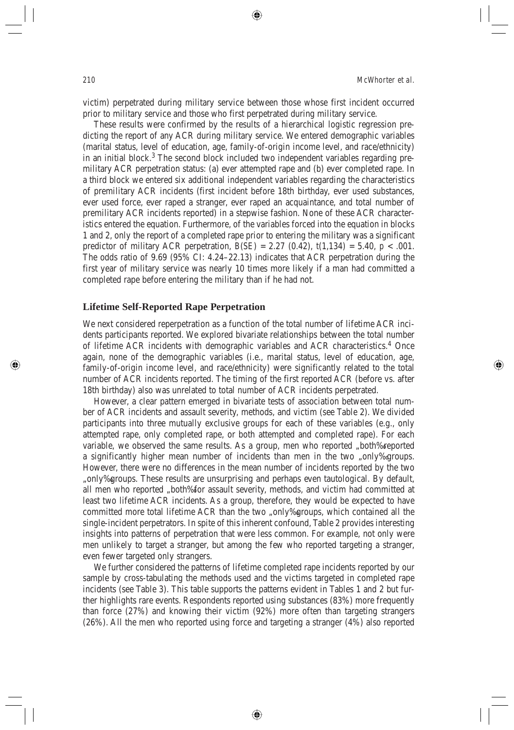victim) perpetrated during military service between those whose first incident occurred prior to military service and those who first perpetrated during military service.

⊕

 These results were confirmed by the results of a hierarchical logistic regression predicting the report of any ACR during military service. We entered demographic variables (marital status, level of education, age, family-of-origin income level, and race/ethnicity) in an initial block.<sup>3</sup> The second block included two independent variables regarding premilitary ACR perpetration status: (a) ever attempted rape and (b) ever completed rape. In a third block we entered six additional independent variables regarding the characteristics of premilitary ACR incidents (first incident before 18th birthday, ever used substances, ever used force, ever raped a stranger, ever raped an acquaintance, and total number of premilitary ACR incidents reported) in a stepwise fashion. None of these ACR characteristics entered the equation. Furthermore, of the variables forced into the equation in blocks 1 and 2, only the report of a completed rape prior to entering the military was a significant predictor of military ACR perpetration,  $B(SE) = 2.27 (0.42)$ ,  $t(1,134) = 5.40$ ,  $p < .001$ . The odds ratio of 9.69 (95% CI: 4.24–22.13) indicates that ACR perpetration during the first year of military service was nearly 10 times more likely if a man had committed a completed rape before entering the military than if he had not.

# **Lifetime Self-Reported Rape Perpetration**

 We next considered reperpetration as a function of the total number of lifetime ACR incidents participants reported. We explored bivariate relationships between the total number of lifetime ACR incidents with demographic variables and ACR characteristics. 4 Once again, none of the demographic variables (i.e., marital status, level of education, age, family-of-origin income level, and race/ethnicity) were significantly related to the total number of ACR incidents reported. The timing of the first reported ACR (before vs. after 18th birthday) also was unrelated to total number of ACR incidents perpetrated.

 However, a clear pattern emerged in bivariate tests of association between total number of ACR incidents and assault severity, methods, and victim (see Table 2). We divided participants into three mutually exclusive groups for each of these variables (e.g., only attempted rape, only completed rape, or both attempted and completed rape). For each variable, we observed the same results. As a group, men who reported "both‰ reported a significantly higher mean number of incidents than men in the two  $, only\$ groups. However, there were no differences in the mean number of incidents reported by the two "only‰ groups. These results are unsurprising and perhaps even tautological. By default, all men who reported "both‰ for assault severity, methods, and victim had committed at least two lifetime ACR incidents. As a group, therefore, they would be expected to have committed more total lifetime ACR than the two "only‰ groups, which contained all the single-incident perpetrators. In spite of this inherent confound, Table 2 provides interesting insights into patterns of perpetration that were less common. For example, not only were men unlikely to target a stranger, but among the few who reported targeting a stranger, even fewer targeted only strangers.

 We further considered the patterns of lifetime completed rape incidents reported by our sample by cross-tabulating the methods used and the victims targeted in completed rape incidents (see Table 3). This table supports the patterns evident in Tables 1 and 2 but further highlights rare events. Respondents reported using substances (83%) more frequently than force (27%) and knowing their victim (92%) more often than targeting strangers (26%). All the men who reported using force and targeting a stranger (4%) also reported

 $\bigoplus$ 

↔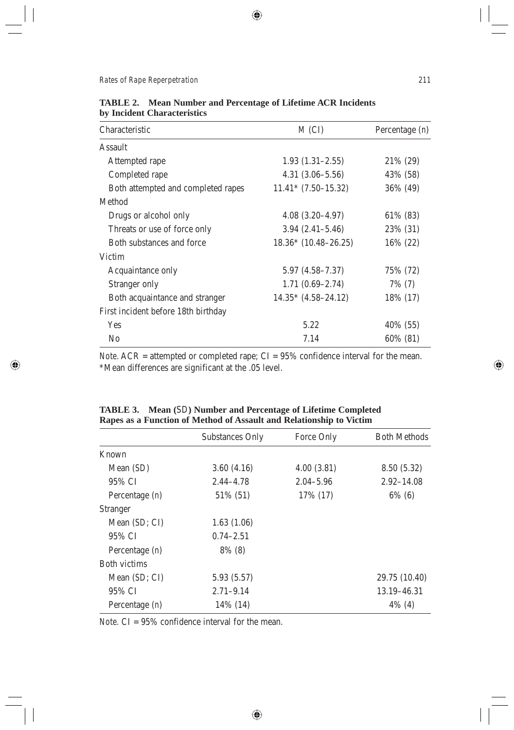⊕

| Characteristic                      | $M$ (CI)                | Percentage $(n)$ |  |
|-------------------------------------|-------------------------|------------------|--|
| Assault                             |                         |                  |  |
| Attempted rape                      | $1.93(1.31-2.55)$       | 21\% (29)        |  |
| Completed rape                      | $4.31(3.06 - 5.56)$     | 43% (58)         |  |
| Both attempted and completed rapes  | $11.41*(7.50-15.32)$    | 36% (49)         |  |
| Method                              |                         |                  |  |
| Drugs or alcohol only               | $4.08(3.20-4.97)$       | 61\% (83)        |  |
| Threats or use of force only        | $3.94(2.41 - 5.46)$     | 23% (31)         |  |
| Both substances and force           | $18.36*(10.48-26.25)$   | 16\% (22)        |  |
| Victim                              |                         |                  |  |
| Acquaintance only                   | $5.97(4.58 - 7.37)$     | 75% (72)         |  |
| Stranger only                       | $1.71(0.69 - 2.74)$     | 7% (7)           |  |
| Both acquaintance and stranger      | $14.35*$ $(4.58-24.12)$ | 18% (17)         |  |
| First incident before 18th birthday |                         |                  |  |
| Yes                                 | 5.22                    | 40\% (55)        |  |
| N <sub>0</sub>                      | 7.14                    | 60\% (81)        |  |

**TABLE 2. Mean Number and Percentage of Lifetime ACR Incidents by Incident Characteristics**

 $\bigoplus$ 

*Note.* ACR = attempted or completed rape; CI = 95% confidence interval for the mean. \*Mean differences are significant at the .05 level.

|                  | Substances Only                | Force Only    | <b>Both Methods</b> |  |  |
|------------------|--------------------------------|---------------|---------------------|--|--|
| Known            |                                |               |                     |  |  |
| Mean $(SD)$      | 3.60(4.16)                     | 4.00(3.81)    | 8.50 (5.32)         |  |  |
| 95% CI           | $2.44 - 4.78$                  | $2.04 - 5.96$ | $2.92 - 14.08$      |  |  |
| Percentage $(n)$ | 51\% (51)                      | 17% (17)      | $6\%$ (6)           |  |  |
| Stranger         |                                |               |                     |  |  |
| Mean $(SD; CI)$  | 1.63(1.06)                     |               |                     |  |  |
| 95% CI           | $0.74 - 2.51$                  |               |                     |  |  |
| Percentage $(n)$ | $8\%$ (8)                      |               |                     |  |  |
| Both victims     |                                |               |                     |  |  |
| Mean $(SD; CI)$  | 29.75 (10.40)<br>5.93 (5.57)   |               |                     |  |  |
| 95% CI           | $2.71 - 9.14$<br>13.19 - 46.31 |               |                     |  |  |
| Percentage $(n)$ | 14% (14)<br>$4\%$ (4)          |               |                     |  |  |

 $\bigoplus$ 

**TABLE 3. Mean (***SD***) Number and Percentage of Lifetime Completed Rapes as a Function of Method of Assault and Relationship to Victim**

*Note.* CI = 95% confidence interval for the mean.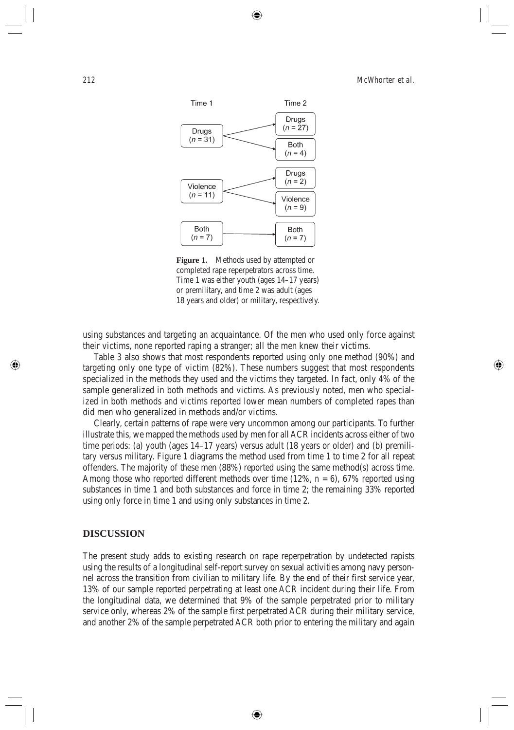*212 McWhorter et al.*

⊕



 $\bigoplus$ 

**Figure 1.** Methods used by attempted or completed rape reperpetrators across time. Time 1 was either youth (ages 14–17 years) or premilitary, and time 2 was adult (ages 18 years and older) or military, respectively.

using substances and targeting an acquaintance. Of the men who used only force against their victims, none reported raping a stranger; all the men knew their victims.

 Table 3 also shows that most respondents reported using only one method (90%) and targeting only one type of victim (82%). These numbers suggest that most respondents specialized in the methods they used and the victims they targeted. In fact, only 4% of the sample generalized in both methods and victims. As previously noted, men who specialized in both methods and victims reported lower mean numbers of completed rapes than did men who generalized in methods and/or victims.

 Clearly, certain patterns of rape were very uncommon among our participants. To further illustrate this, we mapped the methods used by men for all ACR incidents across either of two time periods: (a) youth (ages 14–17 years) versus adult (18 years or older) and (b) premilitary versus military. Figure 1 diagrams the method used from time 1 to time 2 for all repeat offenders. The majority of these men (88%) reported using the same method(s) across time. Among those who reported different methods over time  $(12\%, n = 6)$ , 67% reported using substances in time 1 and both substances and force in time 2; the remaining 33% reported using only force in time 1 and using only substances in time 2.

# **DISCUSSION**

 The present study adds to existing research on rape reperpetration by undetected rapists using the results of a longitudinal self-report survey on sexual activities among navy personnel across the transition from civilian to military life. By the end of their first service year, 13% of our sample reported perpetrating at least one ACR incident during their life. From the longitudinal data, we determined that 9% of the sample perpetrated prior to military service only, whereas 2% of the sample first perpetrated ACR during their military service, and another 2% of the sample perpetrated ACR both prior to entering the military and again

 $\bigoplus$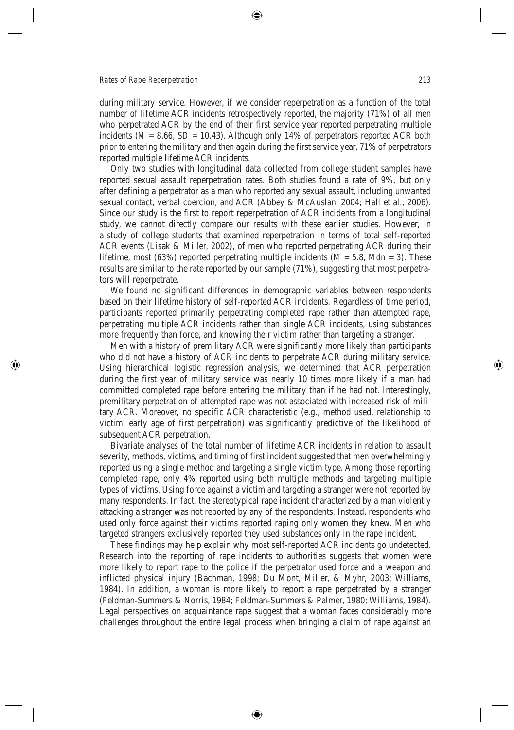↔

⊕

during military service. However, if we consider reperpetration as a function of the total number of lifetime ACR incidents retrospectively reported, the majority (71%) of all men who perpetrated ACR by the end of their first service year reported perpetrating multiple incidents ( $M = 8.66$ ,  $SD = 10.43$ ). Although only 14% of perpetrators reported ACR both prior to entering the military and then again during the first service year, 71% of perpetrators reported multiple lifetime ACR incidents.

 $\bigoplus$ 

 Only two studies with longitudinal data collected from college student samples have reported sexual assault reperpetration rates. Both studies found a rate of 9%, but only after defining a perpetrator as a man who reported any sexual assault, including unwanted sexual contact, verbal coercion, and ACR (Abbey & McAuslan, 2004; Hall et al., 2006). Since our study is the first to report reperpetration of ACR incidents from a longitudinal study, we cannot directly compare our results with these earlier studies. However, in a study of college students that examined reperpetration in terms of total self-reported ACR events (Lisak & Miller, 2002), of men who reported perpetrating ACR during their lifetime, most (63%) reported perpetrating multiple incidents ( $M = 5.8$ ,  $Mdn = 3$ ). These results are similar to the rate reported by our sample (71%), suggesting that most perpetrators will reperpetrate.

 We found no significant differences in demographic variables between respondents based on their lifetime history of self-reported ACR incidents. Regardless of time period, participants reported primarily perpetrating completed rape rather than attempted rape, perpetrating multiple ACR incidents rather than single ACR incidents, using substances more frequently than force, and knowing their victim rather than targeting a stranger.

 Men with a history of premilitary ACR were significantly more likely than participants who did not have a history of ACR incidents to perpetrate ACR during military service. Using hierarchical logistic regression analysis, we determined that ACR perpetration during the first year of military service was nearly 10 times more likely if a man had committed completed rape before entering the military than if he had not. Interestingly, premilitary perpetration of attempted rape was not associated with increased risk of military ACR. Moreover, no specific ACR characteristic (e.g., method used, relationship to victim, early age of first perpetration) was significantly predictive of the likelihood of subsequent ACR perpetration.

 Bivariate analyses of the total number of lifetime ACR incidents in relation to assault severity, methods, victims, and timing of first incident suggested that men overwhelmingly reported using a single method and targeting a single victim type. Among those reporting completed rape, only 4% reported using both multiple methods and targeting multiple types of victims. Using force against a victim and targeting a stranger were not reported by many respondents. In fact, the stereotypical rape incident characterized by a man violently attacking a stranger was not reported by any of the respondents. Instead, respondents who used only force against their victims reported raping only women they knew. Men who targeted strangers exclusively reported they used substances only in the rape incident.

 These findings may help explain why most self-reported ACR incidents go undetected. Research into the reporting of rape incidents to authorities suggests that women were more likely to report rape to the police if the perpetrator used force and a weapon and inflicted physical injury (Bachman, 1998; Du Mont, Miller, & Myhr, 2003; Williams, 1984). In addition, a woman is more likely to report a rape perpetrated by a stranger (Feldman-Summers & Norris, 1984; Feldman-Summers & Palmer, 1980; Williams, 1984). Legal perspectives on acquaintance rape suggest that a woman faces considerably more challenges throughout the entire legal process when bringing a claim of rape against an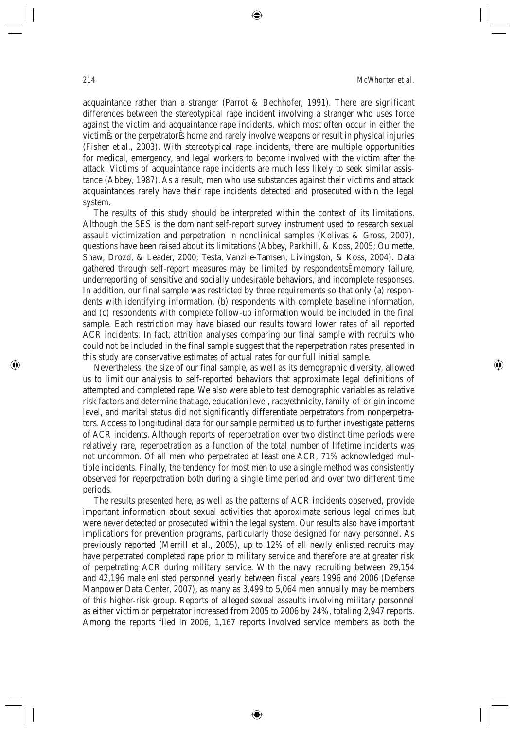## *214 McWhorter et al.*

⊕

acquaintance rather than a stranger (Parrot & Bechhofer, 1991). There are significant differences between the stereotypical rape incident involving a stranger who uses force against the victim and acquaintance rape incidents, which most often occur in either the victimÊs or the perpetratorÊs home and rarely involve weapons or result in physical injuries (Fisher et al., 2003). With stereotypical rape incidents, there are multiple opportunities for medical, emergency, and legal workers to become involved with the victim after the attack. Victims of acquaintance rape incidents are much less likely to seek similar assistance (Abbey, 1987). As a result, men who use substances against their victims and attack acquaintances rarely have their rape incidents detected and prosecuted within the legal system.

⊕

 The results of this study should be interpreted within the context of its limitations. Although the SES is the dominant self-report survey instrument used to research sexual assault victimization and perpetration in nonclinical samples (Kolivas & Gross, 2007), questions have been raised about its limitations (Abbey, Parkhill, & Koss, 2005; Ouimette, Shaw, Drozd, & Leader, 2000; Testa, Vanzile-Tamsen, Livingston, & Koss, 2004). Data gathered through self-report measures may be limited by respondentsÊ memory failure, underreporting of sensitive and socially undesirable behaviors, and incomplete responses. In addition, our final sample was restricted by three requirements so that only (a) respondents with identifying information, (b) respondents with complete baseline information, and (c) respondents with complete follow-up information would be included in the final sample. Each restriction may have biased our results toward lower rates of all reported ACR incidents. In fact, attrition analyses comparing our final sample with recruits who could not be included in the final sample suggest that the reperpetration rates presented in this study are conservative estimates of actual rates for our full initial sample.

 Nevertheless, the size of our final sample, as well as its demographic diversity, allowed us to limit our analysis to self-reported behaviors that approximate legal definitions of attempted and completed rape. We also were able to test demographic variables as relative risk factors and determine that age, education level, race/ethnicity, family-of-origin income level, and marital status did not significantly differentiate perpetrators from nonperpetrators. Access to longitudinal data for our sample permitted us to further investigate patterns of ACR incidents. Although reports of reperpetration over two distinct time periods were relatively rare, reperpetration as a function of the total number of lifetime incidents was not uncommon. Of all men who perpetrated at least one ACR, 71% acknowledged multiple incidents. Finally, the tendency for most men to use a single method was consistently observed for reperpetration both during a single time period and over two different time periods.

 The results presented here, as well as the patterns of ACR incidents observed, provide important information about sexual activities that approximate serious legal crimes but were never detected or prosecuted within the legal system. Our results also have important implications for prevention programs, particularly those designed for navy personnel. As previously reported (Merrill et al., 2005), up to 12% of all newly enlisted recruits may have perpetrated completed rape prior to military service and therefore are at greater risk of perpetrating ACR during military service. With the navy recruiting between 29,154 and 42,196 male enlisted personnel yearly between fiscal years 1996 and 2006 (Defense Manpower Data Center, 2007), as many as 3,499 to 5,064 men annually may be members of this higher-risk group. Reports of alleged sexual assaults involving military personnel as either victim or perpetrator increased from 2005 to 2006 by 24%, totaling 2,947 reports. Among the reports filed in 2006, 1,167 reports involved service members as both the

 $\bigoplus$ 

↔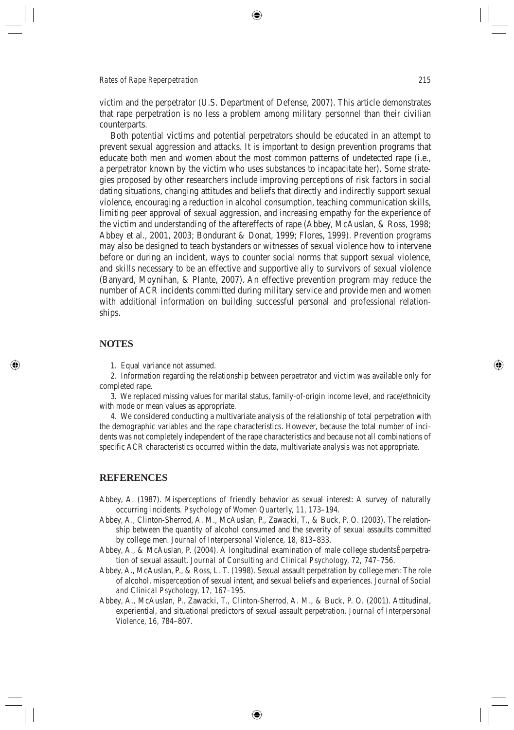victim and the perpetrator (U.S. Department of Defense, 2007). This article demonstrates that rape perpetration is no less a problem among military personnel than their civilian counterparts.

⊕

 Both potential victims and potential perpetrators should be educated in an attempt to prevent sexual aggression and attacks. It is important to design prevention programs that educate both men and women about the most common patterns of undetected rape (i.e., a perpetrator known by the victim who uses substances to incapacitate her). Some strategies proposed by other researchers include improving perceptions of risk factors in social dating situations, changing attitudes and beliefs that directly and indirectly support sexual violence, encouraging a reduction in alcohol consumption, teaching communication skills, limiting peer approval of sexual aggression, and increasing empathy for the experience of the victim and understanding of the aftereffects of rape (Abbey, McAuslan, & Ross, 1998; Abbey et al., 2001, 2003; Bondurant & Donat, 1999; Flores, 1999). Prevention programs may also be designed to teach bystanders or witnesses of sexual violence how to intervene before or during an incident, ways to counter social norms that support sexual violence, and skills necessary to be an effective and supportive ally to survivors of sexual violence (Banyard, Moynihan, & Plante, 2007). An effective prevention program may reduce the number of ACR incidents committed during military service and provide men and women with additional information on building successful personal and professional relationships.

# **NOTES**

1. Equal variance not assumed.

 2. Information regarding the relationship between perpetrator and victim was available only for completed rape.

 3. We replaced missing values for marital status, family-of-origin income level, and race/ethnicity with mode or mean values as appropriate.

 4. We considered conducting a multivariate analysis of the relationship of total perpetration with the demographic variables and the rape characteristics. However, because the total number of incidents was not completely independent of the rape characteristics and because not all combinations of specific ACR characteristics occurred within the data, multivariate analysis was not appropriate.

# **REFERENCES**

- Abbey, A. (1987). Misperceptions of friendly behavior as sexual interest: A survey of naturally occurring incidents. *Psychology of Women Quarterly, 11,* 173–194.
- Abbey, A., Clinton-Sherrod, A. M., McAuslan, P., Zawacki, T., & Buck, P. O. (2003). The relationship between the quantity of alcohol consumed and the severity of sexual assaults committed by college men. *Journal of Interpersonal Violence, 18,* 813–833.
- Abbey, A., & McAuslan, P. (2004). A longitudinal examination of male college studentsÊ perpetration of sexual assault. *Journal of Consulting and Clinical Psychology, 72,* 747–756.
- Abbey, A., McAuslan, P., & Ross, L. T. (1998). Sexual assault perpetration by college men: The role of alcohol, misperception of sexual intent, and sexual beliefs and experiences. *Journal of Social and Clinical Psychology, 17,* 167–195.
- Abbey, A., McAuslan, P., Zawacki, T., Clinton-Sherrod, A. M., & Buck, P. O. (2001). Attitudinal, experiential, and situational predictors of sexual assault perpetration. *Journal of Interpersonal Violence, 16,* 784–807.

⊕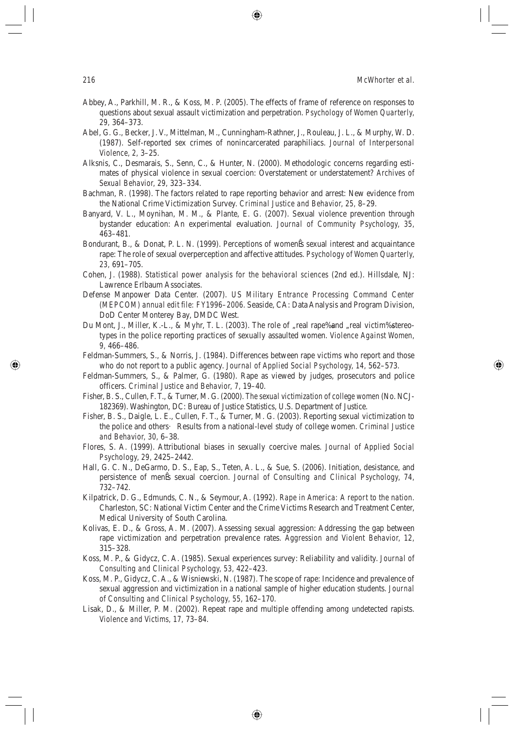#### *216 McWhorter et al.*

⊕

- Abbey, A., Parkhill, M. R., & Koss, M. P. (2005). The effects of frame of reference on responses to questions about sexual assault victimization and perpetration. *Psychology of Women Quarterly, 29,* 364–373.
	- Abel, G. G., Becker, J. V., Mittelman, M., Cunningham-Rathner, J., Rouleau, J. L., & Murphy, W. D. (1987). Self-reported sex crimes of nonincarcerated paraphiliacs. *Journal of Interpersonal Violence, 2,* 3–25.

⊕

- Alksnis, C., Desmarais, S., Senn, C., & Hunter, N. (2000). Methodologic concerns regarding estimates of physical violence in sexual coercion: Overstatement or understatement? *Archives of Sexual Behavior, 29,* 323–334.
- Bachman, R. (1998). The factors related to rape reporting behavior and arrest: New evidence from the National Crime Victimization Survey. *Criminal Justice and Behavior, 25,* 8–29.
- Banyard, V. L., Moynihan, M. M., & Plante, E. G. (2007). Sexual violence prevention through bystander education: An experimental evaluation. *Journal of Community Psychology, 35,* 463–481.
- Bondurant, B., & Donat, P. L. N. (1999). Perceptions of womenÊs sexual interest and acquaintance rape: The role of sexual overperception and affective attitudes. *Psychology of Women Quarterly, 23,* 691–705.
- Cohen, J. (1988). *Statistical power analysis for the behavioral sciences* (2nd ed.). Hillsdale, NJ: Lawrence Erlbaum Associates.
- Defense Manpower Data Center. (2007). *US Military Entrance Processing Command Center (MEPCOM) annual edit file: FY1996–2006.* Seaside, CA: Data Analysis and Program Division, DoD Center Monterey Bay, DMDC West.
- Du Mont, J., Miller, K.-L., & Myhr, T. L. (2003). The role of "real rape<sub>‰</sub> and "real victim<sub>‰</sub> stereotypes in the police reporting practices of sexually assaulted women. *Violence Against Women, 9,* 466–486.
- Feldman-Summers, S., & Norris, J. (1984). Differences between rape victims who report and those who do not report to a public agency. *Journal of Applied Social Psychology, 14,* 562–573.
- Feldman-Summers, S., & Palmer, G. (1980). Rape as viewed by judges, prosecutors and police officers. *Criminal Justice and Behavior, 7,* 19–40.
- Fisher, B. S., Cullen, F. T., & Turner, M. G. (2000). *The sexual victimization of college women* (No. NCJ-182369). Washington, DC: Bureau of Justice Statistics, U.S. Department of Justice.
- Fisher, B. S., Daigle, L. E., Cullen, F. T., & Turner, M. G. (2003). Reporting sexual victimization to the police and others·Results from a national-level study of college women. *Criminal Justice and Behavior, 30,* 6–38.
- Flores, S. A. (1999). Attributional biases in sexually coercive males. *Journal of Applied Social Psychology, 29,* 2425–2442.
- Hall, G. C. N., DeGarmo, D. S., Eap, S., Teten, A. L., & Sue, S. (2006). Initiation, desistance, and persistence of menÊs sexual coercion. *Journal of Consulting and Clinical Psychology, 74,* 732–742.
- Kilpatrick, D. G., Edmunds, C. N., & Seymour, A. (1992). *Rape in America: A report to the nation.* Charleston, SC: National Victim Center and the Crime Victims Research and Treatment Center, Medical University of South Carolina.
- Kolivas, E. D., & Gross, A. M. (2007). Assessing sexual aggression: Addressing the gap between rape victimization and perpetration prevalence rates. *Aggression and Violent Behavior, 12,* 315–328.
- Koss, M. P., & Gidycz, C. A. (1985). Sexual experiences survey: Reliability and validity. *Journal of Consulting and Clinical Psychology, 53,* 422–423.
- Koss, M. P., Gidycz, C. A., & Wisniewski, N. (1987). The scope of rape: Incidence and prevalence of sexual aggression and victimization in a national sample of higher education students. *Journal of Consulting and Clinical Psychology, 55,* 162–170.
- Lisak, D., & Miller, P. M. (2002). Repeat rape and multiple offending among undetected rapists. *Violence and Victims, 17,* 73–84.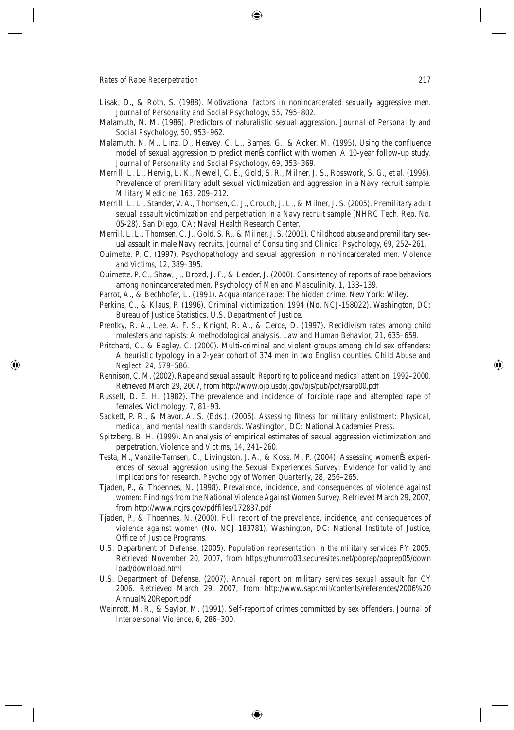Lisak, D., & Roth, S. (1988). Motivational factors in nonincarcerated sexually aggressive men. *Journal of Personality and Social Psychology, 55,* 795–802.

⊕

- Malamuth, N. M. (1986). Predictors of naturalistic sexual aggression. *Journal of Personality and Social Psychology, 50,* 953–962.
- Malamuth, N. M., Linz, D., Heavey, C. L., Barnes, G., & Acker, M. (1995). Using the confluence model of sexual aggression to predict menÊs conflict with women: A 10-year follow-up study. *Journal of Personality and Social Psychology, 69,* 353–369.
- Merrill, L. L., Hervig, L. K., Newell, C. E., Gold, S. R., Milner, J. S., Rosswork, S. G., et al. (1998). Prevalence of premilitary adult sexual victimization and aggression in a Navy recruit sample. *Military Medicine, 163,* 209–212.
- Merrill, L. L., Stander, V. A., Thomsen, C. J., Crouch, J. L., & Milner, J. S. (2005). *Premilitary adult sexual assault victimization and perpetration in a Navy recruit sample* (NHRC Tech. Rep. No. 05-28). San Diego, CA: Naval Health Research Center.
- Merrill, L. L., Thomsen, C. J., Gold, S. R., & Milner, J. S. (2001). Childhood abuse and premilitary sexual assault in male Navy recruits. *Journal of Consulting and Clinical Psychology, 69,* 252–261.
- Ouimette, P. C. (1997). Psychopathology and sexual aggression in nonincarcerated men. *Violence and Victims, 12,* 389–395.
- Ouimette, P. C., Shaw, J., Drozd, J. F., & Leader, J. (2000). Consistency of reports of rape behaviors among nonincarcerated men. *Psychology of Men and Masculinity, 1,* 133–139.
- Parrot, A., & Bechhofer, L. (1991). *Acquaintance rape: The hidden crime.* New York: Wiley.
- Perkins, C., & Klaus, P. (1996). *Criminal victimization, 1994* (No. NCJ-158022). Washington, DC: Bureau of Justice Statistics, U.S. Department of Justice.
- Prentky, R. A., Lee, A. F. S., Knight, R. A., & Cerce, D. (1997). Recidivism rates among child molesters and rapists: A methodological analysis. *Law and Human Behavior, 21,* 635–659.
- Pritchard, C., & Bagley, C. (2000). Multi-criminal and violent groups among child sex offenders: A heuristic typology in a 2-year cohort of 374 men in two English counties. *Child Abuse and Neglect, 24,* 579–586.
- Rennison, C. M. (2002). *Rape and sexual assault: Reporting to police and medical attention, 1992–2000.* Retrieved March 29, 2007, from http://www.ojp.usdoj.gov/bjs/pub/pdf/rsarp00.pdf
- Russell, D. E. H. (1982). The prevalence and incidence of forcible rape and attempted rape of females. *Victimology, 7,* 81–93.
- Sackett, P. R., & Mavor, A. S. (Eds.). (2006). *Assessing fitness for military enlistment: Physical, medical, and mental health standards.* Washington, DC: National Academies Press.
- Spitzberg, B. H. (1999). An analysis of empirical estimates of sexual aggression victimization and perpetration. *Violence and Victims, 14,* 241–260.
- Testa, M., Vanzile-Tamsen, C., Livingston, J. A., & Koss, M. P. (2004). Assessing womenÊs experiences of sexual aggression using the Sexual Experiences Survey: Evidence for validity and implications for research. *Psychology of Women Quarterly, 28,* 256–265.
- Tjaden, P., & Thoennes, N. (1998). *Prevalence, incidence, and consequences of violence against women: Findings from the National Violence Against Women Survey.* Retrieved March 29, 2007, from http://www.ncjrs.gov/pdffiles/172837.pdf
- Tjaden, P., & Thoennes, N. (2000). *Full report of the prevalence, incidence, and consequences of violence against women* (No. NCJ 183781). Washington, DC: National Institute of Justice, Office of Justice Programs.
- U.S. Department of Defense. (2005). *Population representation in the military services FY 2005.* Retrieved November 20, 2007, from https://humrro03.securesites.net/poprep/poprep05/down load/download.html
- U.S. Department of Defense. (2007). *Annual report on military services sexual assault for CY 2006.* Retrieved March 29, 2007, from http://www.sapr.mil/contents/references/2006%20 Annual%20Report.pdf
- Weinrott, M. R., & Saylor, M. (1991). Self-report of crimes committed by sex offenders. *Journal of Interpersonal Violence, 6,* 286–300.

 $\bigoplus$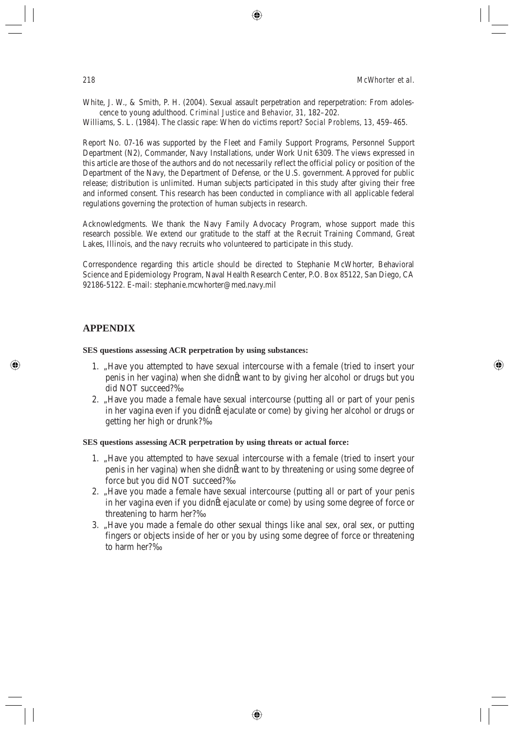White, J. W., & Smith, P. H. (2004). Sexual assault perpetration and reperpetration: From adolescence to young adulthood. *Criminal Justice and Behavior, 31,* 182–202.

⊕

Williams, S. L. (1984). The classic rape: When do victims report? *Social Problems, 13,* 459–465.

 Report No. 07-16 was supported by the Fleet and Family Support Programs, Personnel Support Department (N2), Commander, Navy Installations, under Work Unit 6309. The views expressed in this article are those of the authors and do not necessarily reflect the official policy or position of the Department of the Navy, the Department of Defense, or the U.S. government. Approved for public release; distribution is unlimited. Human subjects participated in this study after giving their free and informed consent. This research has been conducted in compliance with all applicable federal regulations governing the protection of human subjects in research.

*Acknowledgments.* We thank the Navy Family Advocacy Program, whose support made this research possible. We extend our gratitude to the staff at the Recruit Training Command, Great Lakes, Illinois, and the navy recruits who volunteered to participate in this study.

 Correspondence regarding this article should be directed to Stephanie McWhorter, Behavioral Science and Epidemiology Program, Naval Health Research Center, P.O. Box 85122, San Diego, CA 92186-5122. E-mail: stephanie.mcwhorter@med.navy.mil

# **APPENDIX**

 **SES questions assessing ACR perpetration by using substances:** 

- 1. "Have you attempted to have sexual intercourse with a female (tried to insert your penis in her vagina) when she didnÊt want to by giving her alcohol or drugs but you did NOT succeed?‰
- 2. "Have you made a female have sexual intercourse (putting all or part of your penis in her vagina even if you didnÊt ejaculate or come) by giving her alcohol or drugs or getting her high or drunk?‰

#### **SES questions assessing ACR perpetration by using threats or actual force:**

- 1. "Have you attempted to have sexual intercourse with a female (tried to insert your penis in her vagina) when she didnÊt want to by threatening or using some degree of force but you did NOT succeed?‰
- 2. "Have you made a female have sexual intercourse (putting all or part of your penis in her vagina even if you didnÊt ejaculate or come) by using some degree of force or threatening to harm her?‰
- 3. "Have you made a female do other sexual things like anal sex, oral sex, or putting fingers or objects inside of her or you by using some degree of force or threatening to harm her?‰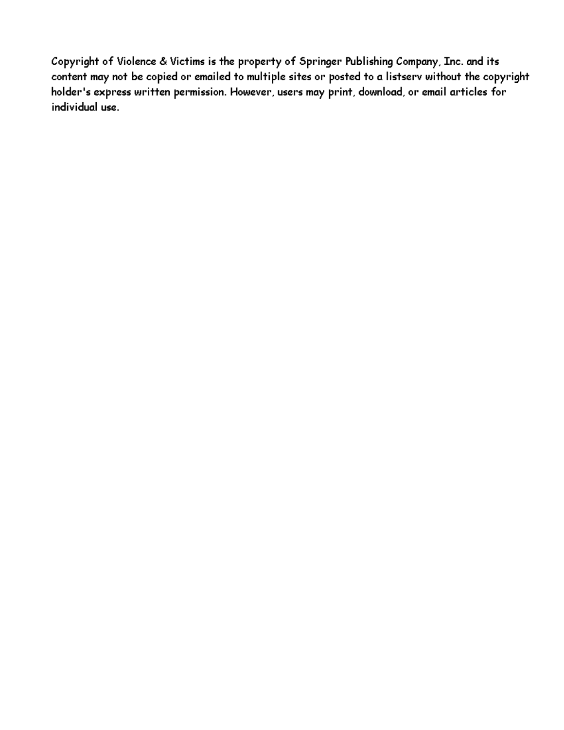Copyright of Violence & Victims is the property of Springer Publishing Company, Inc. and its content may not be copied or emailed to multiple sites or posted to a listserv without the copyright holder's express written permission. However, users may print, download, or email articles for individual use.